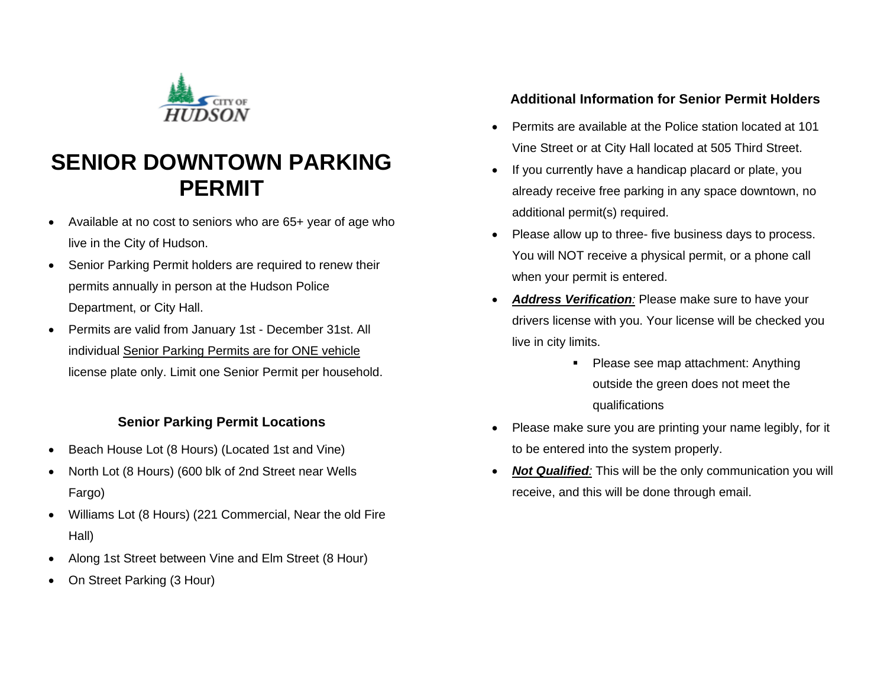

# **SENIOR DOWNTOWN PARKING PERMIT**

- Available at no cost to seniors who are 65+ year of age who live in the City of Hudson.
- Senior Parking Permit holders are required to renew their permits annually in person at the Hudson Police Department, or City Hall.
- Permits are valid from January 1st December 31st. All individual Senior Parking Permits are for ONE vehicle license plate only. Limit one Senior Permit per household.

#### **Senior Parking Permit Locations**

- Beach House Lot (8 Hours) (Located 1st and Vine)
- North Lot (8 Hours) (600 blk of 2nd Street near Wells Fargo)
- Williams Lot (8 Hours) (221 Commercial, Near the old Fire Hall)
- Along 1st Street between Vine and Elm Street (8 Hour)
- On Street Parking (3 Hour)

### **Additional Information for Senior Permit Holders**

- Permits are available at the Police station located at 101 Vine Street or at City Hall located at 505 Third Street.
- If you currently have a handicap placard or plate, you already receive free parking in any space downtown, no additional permit(s) required.
- Please allow up to three- five business days to process. You will NOT receive a physical permit, or a phone call when your permit is entered.
- **Address Verification**: Please make sure to have your drivers license with you. Your license will be checked you live in city limits.
	- Please see map attachment: Anything outside the green does not meet the qualifications
- Please make sure you are printing your name legibly, for it to be entered into the system properly.
- *Not Qualified:* This will be the only communication you will receive, and this will be done through email.